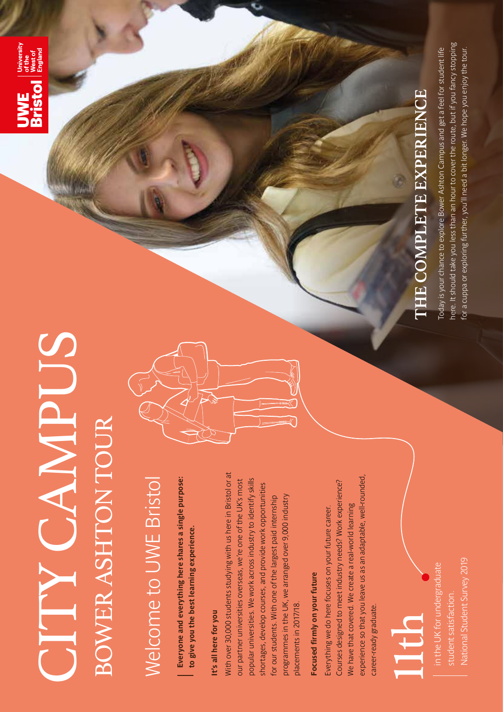## SUPNAMPUS CITY CAMPUS BOWER ASHTON TOUR BOWER ASHTON TOUR

**UWE** Interestive<br>Bristol Ness of

## Welcome to UWE Bristol **Welcome to UWE Bristol**

**Everyone and everything here shares a single purpose:**  Everyone and everything here shares a single purpose: to give you the best learning experience. **to give you the best learning experience.**

#### It's all here for you **It's all here for you**

**With over 30,000 students studying with us here in Bristol or at**  With over 30,000 students studying with us here in Bristol or at **popular universities. We work across industry to identify skills our partner universities overseas, we're one of the UK's most**  popular universities. We work across industry to identify skills our partner universities overseas, we're one of the UK's most shortages, develop courses, and provide work opportunities **shortages, develop courses, and provide work opportunities programmes in the UK, we arranged over 9,000 industry**  for our students. With one of the largest paid internship **for our students. With one of the largest paid internship**  programmes in the UK, we arranged over 9,000 industry placements in 2017/18. **placements in 2017/18.**

### Focused firmly on your future **Focused firmly on your future**

**experience so that you leave us as an adaptable, well-rounded,**  experience so that you leave us as an adaptable, well-rounded, Courses designed to meet industry needs? Work experience? **Courses designed to meet industry needs? Work experience? We have that covered. We create a real-world learning**  We have that covered. We create a real-world learning **Everything we do here focuses on your future career.**  Everything we do here focuses on your future career. **career-ready graduate.**  career-ready graduate.

### 1th<br>1

National Student Survey 2019 **National Student Survey 2019in the UK for undergraduate**  in the UK for undergraduate **student satisfaction.**  student satisfaction.



# THE COMPLETE EXPERIENCE **THE COMPLETE EXPERIENCE**

here. It should take you less than an hour to cover the route, but if you fancy stopping **here. It should take you less than an hour to cover the route, but if you fancy stopping**  Today is your chance to explore Bower Ashton Campus and get a feel for student life **Today is your chance to explore Bower Ashton Campus and get a feel for student life**  for a cuppa or exploring further, you'll need a bit longer. We hope you enjoy the tour. **for a cuppa or exploring further, you'll need a bit longer. We hope you enjoy the tour.**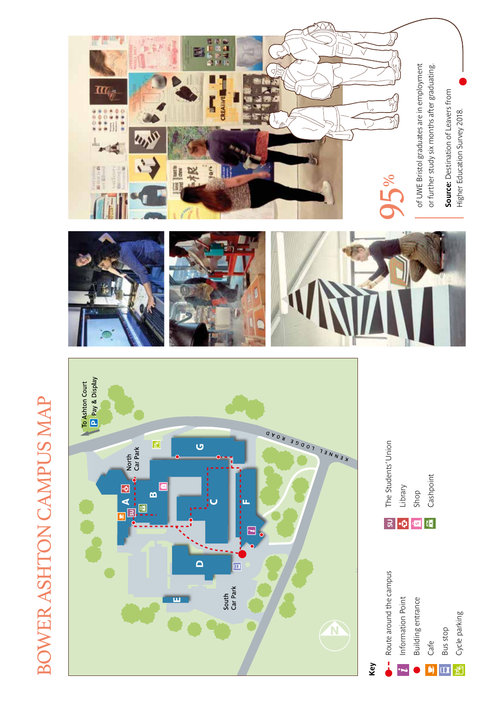# **BOWER ASHTON CAMPUS MAP** BOWER ASHTON CAMPUS MAP

















**of UWE Bristol graduates are in employment**  or further study six months after graduating. of UWE Bristol graduates are in employment **or further study six months after graduating.**

**Source: Destination of Leavers from Source:** Destination of Leavers from Higher Education Survey 2018. **Higher Education Survey 2018.**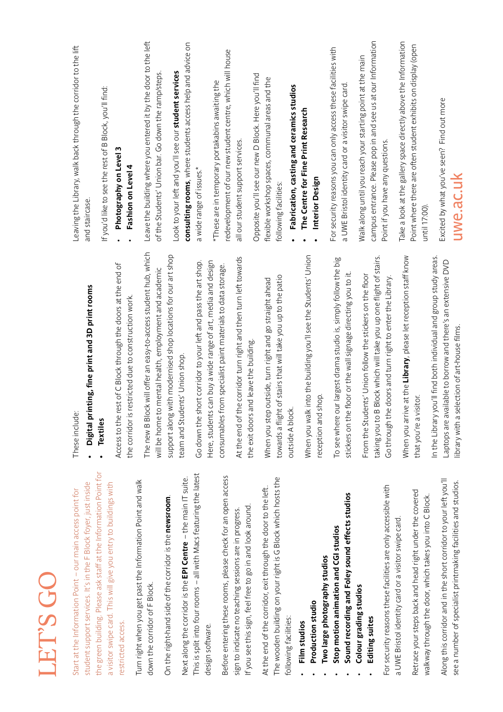| student support services. It's in the F Block foyer, just inside<br>Start at the Information Point - our main access point for        | inting, fine print and 3D print rooms<br>These include<br>Digital pr                                                              | Leaving the Library, walk back through the corridor to the lift<br>and staircase.                                          |
|---------------------------------------------------------------------------------------------------------------------------------------|-----------------------------------------------------------------------------------------------------------------------------------|----------------------------------------------------------------------------------------------------------------------------|
| the green building. Please ask staff at the Information Point for<br>a visitor swipe card. This will give you entry to buildings with | <b>Textiles</b>                                                                                                                   | If you'd like to see the rest of B Block, you'll find:                                                                     |
| restricted access.                                                                                                                    | Access to the rest of C Block through the doors at the end of<br>the corridor is restricted due to construction work.             | Photography on Level 3<br>Fashion on Level                                                                                 |
| Turn right when you get past the Information Point and walk                                                                           | ock will offer an easy-to-access student hub, which<br>The new B Blo                                                              | Leave the building where you entered it by the door to the left                                                            |
| down the corridor of F Block.                                                                                                         | to mental health, employment and academic<br>will be home t                                                                       | of the Students' Union bar. Go down the ramp/steps.                                                                        |
| On the right-hand side of the corridor is the newsroom.                                                                               | support along with modernised shop locations for our art shop                                                                     | Look to your left and you'll see our student services                                                                      |
| Next along the corridor is the EPI Centre - the main IT suite.                                                                        | team and Students' Union shop.                                                                                                    | consulting rooms, where students access help and advice on                                                                 |
| This is split into four rooms - all with Macs featuring the latest                                                                    | Go down the short corridor to your left and pass the art shop.                                                                    | a wide range of issues.*                                                                                                   |
| design software.                                                                                                                      | Here, students can buy a wide range of art, media and design                                                                      | *These are in temporary portakabins awaiting the                                                                           |
| Before entering these rooms, please check for an open access                                                                          | consumables from specialist paint materials to data storage.                                                                      | redevelopment of our new student centre, which will house                                                                  |
| sign to indicate no teaching sessions are in progress.                                                                                | At the end of the corridor turn right and then turn left towards                                                                  | all our student support services.                                                                                          |
| If you see this sign, feel free to go in and look around.                                                                             | and leave the building<br>the exit doors                                                                                          | Opposite you'll see our new D Block. Here you'll find                                                                      |
| The wooden building on your right is G Block which hosts the<br>At the end of the corridor, exit through the door to the left.        | When you step outside, turn right and go straight ahead                                                                           | flexible workshop spaces, communal areas and the                                                                           |
| following facilities:                                                                                                                 | towards a flight of stairs that will take you up to the patio<br>outside A block                                                  | following facilities:                                                                                                      |
| Film studios                                                                                                                          |                                                                                                                                   | Fabrication, casting and ceramics studios                                                                                  |
| Production studio                                                                                                                     | When you walk into the building you'll see the Students' Union                                                                    | The Centre for Fine Print Research<br>Interior Design                                                                      |
| Two large photography studios                                                                                                         | shop.<br>reception and                                                                                                            |                                                                                                                            |
| Sound recording and Foley sound effects studios<br>Stop motion animation and CGI studios                                              | To see where our largest drama studio is, simply follow the big<br>stickers on the floor or the wall signage directing you to it. | For security reasons you can only access these facilities with<br>a UWE Bristol identity card or a visitor swipe card      |
| Colour grading studios                                                                                                                |                                                                                                                                   |                                                                                                                            |
| Editing suites                                                                                                                        | B Block which will take you up one flight of stairs.<br>From the Students' Union follow the stickers on the floor                 | campus entrance. Please pop in and see us at our Information<br>Walk along until you reach your starting point at the main |
| For security reasons these facilities are only accessible with                                                                        | e doors and turn right to enter the Library.<br>Go through th<br>taking you to                                                    | Point if you have any questions.                                                                                           |
| a UWE Bristol identity card or a visitor swipe card                                                                                   | When you arrive at the Library, please let reception staff know                                                                   | Take a look at the gallery space directly above the Information                                                            |
| Retrace your steps back and head right under the covered<br>walkway through the door, which takes you into C Block.                   | that you're a visitor.                                                                                                            | Point where there are often student exhibits on display (open<br>until 17:00).                                             |
| Along this corridor and in the short corridor to your left you'll<br>see a number of specialist printmaking facilities and studios.   | In the Library you'll find both individual and group study areas.<br>Laptops are available to borrow and there's an extensive DVD | Excited by what you've seen? Find out more                                                                                 |
|                                                                                                                                       | selection of art-house films.<br>library with a                                                                                   | uwe.ac.uk                                                                                                                  |

LET'S GO

LET'S GO